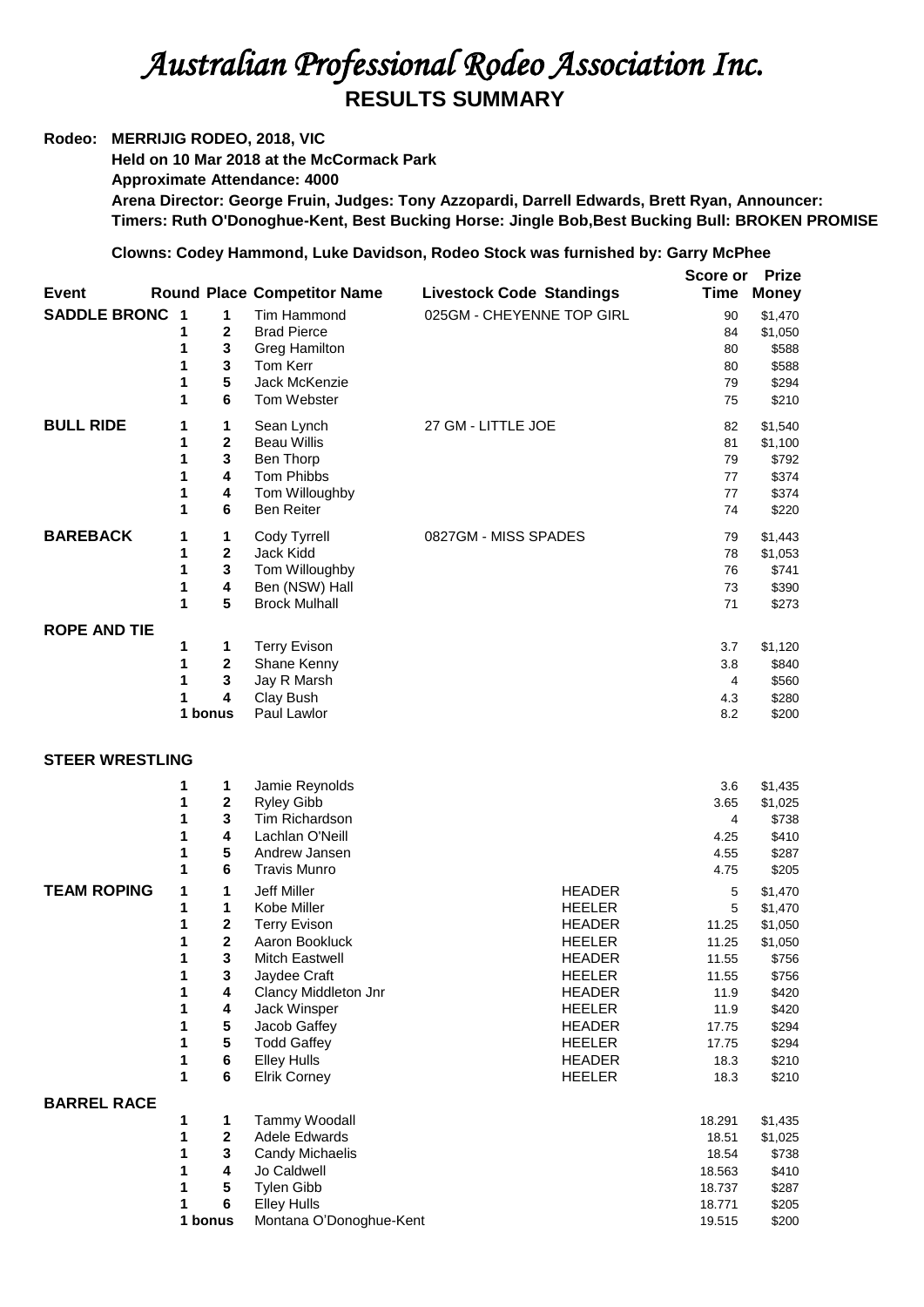## *Australian Professional Rodeo Association Inc.*  **RESULTS SUMMARY**

## **Rodeo: MERRIJIG RODEO, 2018, VIC**

**Held on 10 Mar 2018 at the McCormack Park Approximate Attendance: 4000 Arena Director: George Fruin, Judges: Tony Azzopardi, Darrell Edwards, Brett Ryan, Announcer: Timers: Ruth O'Donoghue-Kent, Best Bucking Horse: Jingle Bob,Best Bucking Bull: BROKEN PROMISE**

## **Clowns: Codey Hammond, Luke Davidson, Rodeo Stock was furnished by: Garry McPhee**

| Event                  |                                                          |                                                                            | <b>Round Place Competitor Name</b>                                                                                                                                                                                               | <b>Livestock Code Standings</b>                                                                                                                                                                          | Score or<br>Time                                                                             | <b>Prize</b><br><b>Money</b>                                                                                     |
|------------------------|----------------------------------------------------------|----------------------------------------------------------------------------|----------------------------------------------------------------------------------------------------------------------------------------------------------------------------------------------------------------------------------|----------------------------------------------------------------------------------------------------------------------------------------------------------------------------------------------------------|----------------------------------------------------------------------------------------------|------------------------------------------------------------------------------------------------------------------|
| <b>SADDLE BRONC</b>    | $\overline{\mathbf{1}}$<br>1<br>1<br>1<br>1<br>1         | 1<br>2<br>3<br>$\mathbf 3$<br>5<br>6                                       | Tim Hammond<br><b>Brad Pierce</b><br><b>Greg Hamilton</b><br>Tom Kerr<br>Jack McKenzie<br>Tom Webster                                                                                                                            | 025GM - CHEYENNE TOP GIRL                                                                                                                                                                                | 90<br>84<br>80<br>80<br>79<br>75                                                             | \$1,470<br>\$1,050<br>\$588<br>\$588<br>\$294<br>\$210                                                           |
| <b>BULL RIDE</b>       | 1<br>1<br>1<br>1<br>1<br>1                               | 1<br>$\mathbf{2}$<br>3<br>4<br>4<br>6                                      | Sean Lynch<br><b>Beau Willis</b><br>Ben Thorp<br>Tom Phibbs<br>Tom Willoughby<br><b>Ben Reiter</b>                                                                                                                               | 27 GM - LITTLE JOE                                                                                                                                                                                       | 82<br>81<br>79<br>77<br>77<br>74                                                             | \$1,540<br>\$1,100<br>\$792<br>\$374<br>\$374<br>\$220                                                           |
| <b>BAREBACK</b>        | 1<br>1<br>1<br>1<br>1                                    | 1<br>2<br>$\mathbf 3$<br>4<br>5                                            | Cody Tyrrell<br>Jack Kidd<br>Tom Willoughby<br>Ben (NSW) Hall<br><b>Brock Mulhall</b>                                                                                                                                            | 0827GM - MISS SPADES                                                                                                                                                                                     | 79<br>78<br>76<br>73<br>71                                                                   | \$1,443<br>\$1,053<br>\$741<br>\$390<br>\$273                                                                    |
| <b>ROPE AND TIE</b>    | 1<br>1<br>1<br>1                                         | 1<br>$\overline{2}$<br>3<br>4<br>1 bonus                                   | <b>Terry Evison</b><br>Shane Kenny<br>Jay R Marsh<br>Clay Bush<br>Paul Lawlor                                                                                                                                                    |                                                                                                                                                                                                          | 3.7<br>3.8<br>4<br>4.3<br>8.2                                                                | \$1,120<br>\$840<br>\$560<br>\$280<br>\$200                                                                      |
| <b>STEER WRESTLING</b> |                                                          |                                                                            |                                                                                                                                                                                                                                  |                                                                                                                                                                                                          |                                                                                              |                                                                                                                  |
|                        | 1<br>1<br>1<br>1<br>1<br>1                               | 1<br>$\boldsymbol{2}$<br>3<br>4<br>5<br>6                                  | Jamie Reynolds<br><b>Ryley Gibb</b><br>Tim Richardson<br>Lachlan O'Neill<br>Andrew Jansen<br><b>Travis Munro</b>                                                                                                                 |                                                                                                                                                                                                          | 3.6<br>3.65<br>4<br>4.25<br>4.55<br>4.75                                                     | \$1,435<br>\$1,025<br>\$738<br>\$410<br>\$287<br>\$205                                                           |
| <b>TEAM ROPING</b>     | 1<br>1<br>1<br>1<br>1<br>1<br>1<br>1<br>1<br>1<br>1<br>1 | 1<br>1<br>2<br>$\mathbf 2$<br>3<br>3<br>4<br>4<br>${\bf 5}$<br>5<br>6<br>6 | Jeff Miller<br>Kobe Miller<br><b>Terry Evison</b><br>Aaron Bookluck<br>Mitch Eastwell<br>Jaydee Craft<br>Clancy Middleton Jnr<br>Jack Winsper<br>Jacob Gaffey<br><b>Todd Gaffey</b><br><b>Elley Hulls</b><br><b>Elrik Corney</b> | <b>HEADER</b><br><b>HEELER</b><br><b>HEADER</b><br><b>HEELER</b><br><b>HEADER</b><br><b>HEELER</b><br><b>HEADER</b><br><b>HEELER</b><br><b>HEADER</b><br><b>HEELER</b><br><b>HEADER</b><br><b>HEELER</b> | 5<br>5<br>11.25<br>11.25<br>11.55<br>11.55<br>11.9<br>11.9<br>17.75<br>17.75<br>18.3<br>18.3 | \$1,470<br>\$1,470<br>\$1,050<br>\$1,050<br>\$756<br>\$756<br>\$420<br>\$420<br>\$294<br>\$294<br>\$210<br>\$210 |
| <b>BARREL RACE</b>     |                                                          |                                                                            |                                                                                                                                                                                                                                  |                                                                                                                                                                                                          |                                                                                              |                                                                                                                  |
|                        | 1<br>1<br>1<br>1<br>1<br>1                               | 1<br>$\bf{2}$<br>3<br>4<br>5<br>6                                          | Tammy Woodall<br>Adele Edwards<br>Candy Michaelis<br>Jo Caldwell<br><b>Tylen Gibb</b><br><b>Elley Hulls</b>                                                                                                                      |                                                                                                                                                                                                          | 18.291<br>18.51<br>18.54<br>18.563<br>18.737<br>18.771                                       | \$1,435<br>\$1,025<br>\$738<br>\$410<br>\$287<br>\$205                                                           |
|                        |                                                          | 1 bonus                                                                    | Montana O'Donoghue-Kent                                                                                                                                                                                                          |                                                                                                                                                                                                          | 19.515                                                                                       | \$200                                                                                                            |